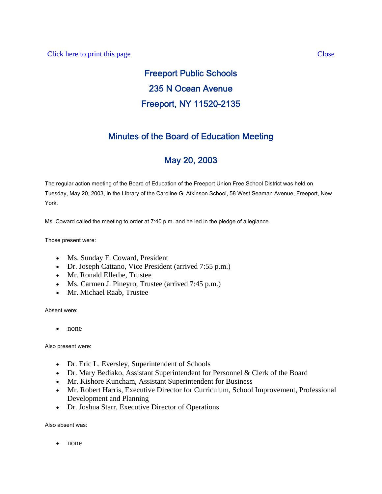# Freeport Public Schools 235 N Ocean Avenue Freeport, NY 11520-2135

## Minutes of the Board of Education Meeting

## May 20, 2003

The regular action meeting of the Board of Education of the Freeport Union Free School District was held on Tuesday, May 20, 2003, in the Library of the Caroline G. Atkinson School, 58 West Seaman Avenue, Freeport, New York.

Ms. Coward called the meeting to order at 7:40 p.m. and he led in the pledge of allegiance.

Those present were:

- Ms. Sunday F. Coward, President
- Dr. Joseph Cattano, Vice President (arrived 7:55 p.m.)
- Mr. Ronald Ellerbe, Trustee
- Ms. Carmen J. Pineyro, Trustee (arrived 7:45 p.m.)
- Mr. Michael Raab, Trustee

Absent were:

• none

Also present were:

- Dr. Eric L. Eversley, Superintendent of Schools
- Dr. Mary Bediako, Assistant Superintendent for Personnel & Clerk of the Board
- Mr. Kishore Kuncham, Assistant Superintendent for Business
- Mr. Robert Harris, Executive Director for Curriculum, School Improvement, Professional Development and Planning
- Dr. Joshua Starr, Executive Director of Operations

Also absent was:

• none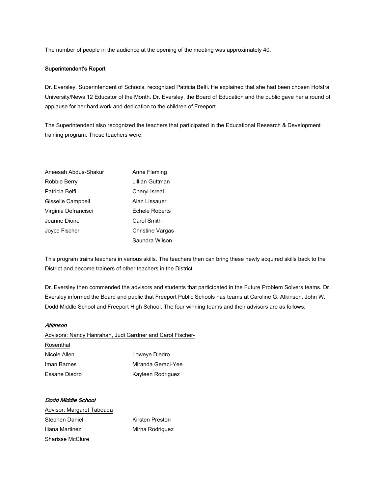The number of people in the audience at the opening of the meeting was approximately 40.

### Superintendent's Report

Dr. Eversley, Superintendent of Schools, recognized Patricia Belfi. He explained that she had been chosen Hofstra University/News 12 Educator of the Month. Dr. Eversley, the Board of Education and the public gave her a round of applause for her hard work and dedication to the children of Freeport.

The Superintendent also recognized the teachers that participated in the Educational Research & Development training program. Those teachers were;

| Aneesah Abdus-Shakur | Anne Fleming     |
|----------------------|------------------|
| Robbie Berry         | Lillian Guttman  |
| Patricia Belfi       | Cheryl Isreal    |
| Gisselle Campbell    | Alan Lissauer    |
| Virginia Defrancisci | Echele Roberts   |
| Jeanne Dione         | Carol Smith      |
| Joyce Fischer        | Christine Vargas |
|                      | Saundra Wilson   |

This program trains teachers in various skills. The teachers then can bring these newly acquired skills back to the District and become trainers of other teachers in the District.

Dr. Eversley then commended the advisors and students that participated in the Future Problem Solvers teams. Dr. Eversley informed the Board and public that Freeport Public Schools has teams at Caroline G. Atkinson, John W. Dodd Middle School and Freeport High School. The four winning teams and their advisors are as follows:

### **Atkinson**

Advisors: Nancy Hanrahan, Judi Gardner and Carol Fischer-

| Rosenthal     |                    |
|---------------|--------------------|
| Nicole Allen  | Loweye Diedro      |
| Iman Barnes   | Miranda Geraci-Yee |
| Essane Diedro | Kayleen Rodriguez  |

Dodd Middle School Advisor; Margaret Taboada Stephen Daniel Kirsten Preston Iliana Martinez **Mirna Rodriguez** Sharisse McClure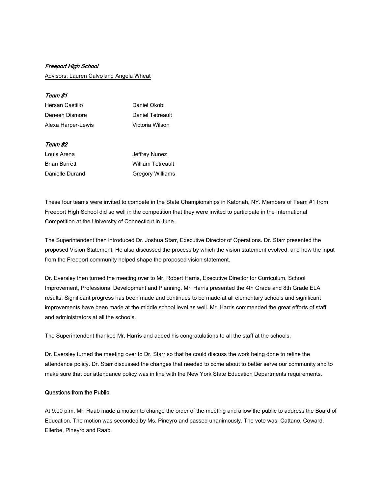#### Freeport High School

Advisors: Lauren Calvo and Angela Wheat

#### Team #1

| Hersan Castillo    | Daniel Okobi     |
|--------------------|------------------|
| Deneen Dismore     | Daniel Tetreault |
| Alexa Harper-Lewis | Victoria Wilson  |

### Team #2

| Louis Arena          | Jeffrey Nunez            |
|----------------------|--------------------------|
| <b>Brian Barrett</b> | <b>William Tetreault</b> |
| Danielle Durand      | <b>Gregory Williams</b>  |

These four teams were invited to compete in the State Championships in Katonah, NY. Members of Team #1 from Freeport High School did so well in the competition that they were invited to participate in the International Competition at the University of Connecticut in June.

The Superintendent then introduced Dr. Joshua Starr, Executive Director of Operations. Dr. Starr presented the proposed Vision Statement. He also discussed the process by which the vision statement evolved, and how the input from the Freeport community helped shape the proposed vision statement.

Dr. Eversley then turned the meeting over to Mr. Robert Harris, Executive Director for Curriculum, School Improvement, Professional Development and Planning. Mr. Harris presented the 4th Grade and 8th Grade ELA results. Significant progress has been made and continues to be made at all elementary schools and significant improvements have been made at the middle school level as well. Mr. Harris commended the great efforts of staff and administrators at all the schools.

The Superintendent thanked Mr. Harris and added his congratulations to all the staff at the schools.

Dr. Eversley turned the meeting over to Dr. Starr so that he could discuss the work being done to refine the attendance policy. Dr. Starr discussed the changes that needed to come about to better serve our community and to make sure that our attendance policy was in line with the New York State Education Departments requirements.

### Questions from the Public

At 9:00 p.m. Mr. Raab made a motion to change the order of the meeting and allow the public to address the Board of Education. The motion was seconded by Ms. Pineyro and passed unanimously. The vote was: Cattano, Coward, Ellerbe, Pineyro and Raab.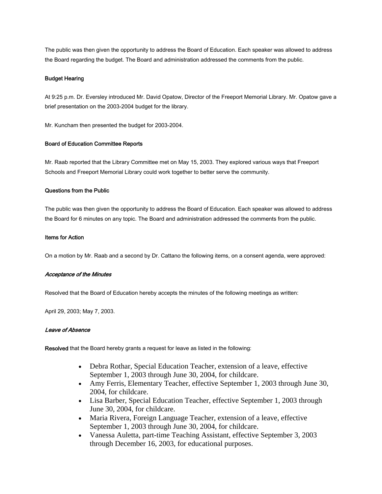The public was then given the opportunity to address the Board of Education. Each speaker was allowed to address the Board regarding the budget. The Board and administration addressed the comments from the public.

### Budget Hearing

At 9:25 p.m. Dr. Eversley introduced Mr. David Opatow, Director of the Freeport Memorial Library. Mr. Opatow gave a brief presentation on the 2003-2004 budget for the library.

Mr. Kuncham then presented the budget for 2003-2004.

### Board of Education Committee Reports

Mr. Raab reported that the Library Committee met on May 15, 2003. They explored various ways that Freeport Schools and Freeport Memorial Library could work together to better serve the community.

### Questions from the Public

The public was then given the opportunity to address the Board of Education. Each speaker was allowed to address the Board for 6 minutes on any topic. The Board and administration addressed the comments from the public.

### Items for Action

On a motion by Mr. Raab and a second by Dr. Cattano the following items, on a consent agenda, were approved:

#### Acceptance of the Minutes

Resolved that the Board of Education hereby accepts the minutes of the following meetings as written:

April 29, 2003; May 7, 2003.

### Leave of Absence

Resolved that the Board hereby grants a request for leave as listed in the following:

- Debra Rothar, Special Education Teacher, extension of a leave, effective September 1, 2003 through June 30, 2004, for childcare.
- Amy Ferris, Elementary Teacher, effective September 1, 2003 through June 30, 2004, for childcare.
- Lisa Barber, Special Education Teacher, effective September 1, 2003 through June 30, 2004, for childcare.
- Maria Rivera, Foreign Language Teacher, extension of a leave, effective September 1, 2003 through June 30, 2004, for childcare.
- Vanessa Auletta, part-time Teaching Assistant, effective September 3, 2003 through December 16, 2003, for educational purposes.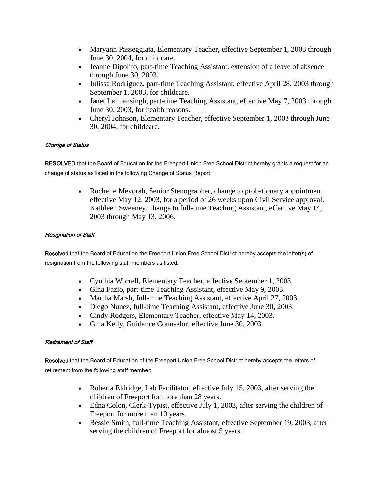- Maryann Passeggiata, Elementary Teacher, effective September 1, 2003 through June 30, 2004, for childcare.
- Jeanne Dipolito, part-time Teaching Assistant, extension of a leave of absence through June 30, 2003.
- Julissa Rodriguez, part-time Teaching Assistant, effective April 28, 2003 through September 1, 2003, for childcare.
- Janet Lalmansingh, part-time Teaching Assistant, effective May 7, 2003 through June 30, 2003, for health reasons.
- Cheryl Johnson, Elementary Teacher, effective September 1, 2003 through June 30, 2004, for childcare.

### Change of Status

RESOLVED that the Board of Education for the Freeport Union Free School District hereby grants a request for an change of status as listed in the following Change of Status Report

> • Rochelle Mevorah, Senior Stenographer, change to probationary appointment effective May 12, 2003, for a period of 26 weeks upon Civil Service approval. Kathleen Sweeney, change to full-time Teaching Assistant, effective May 14, 2003 through May 13, 2006.

### Resignation of Staff

Resolved that the Board of Education the Freeport Union Free School District hereby accepts the letter(s) of resignation from the following staff members as listed:

- Cynthia Worrell, Elementary Teacher, effective September 1, 2003.
- Gina Fazio, part-time Teaching Assistant, effective May 9, 2003.
- Martha Marsh, full-time Teaching Assistant, effective April 27, 2003.
- Diego Nunez, full-time Teaching Assistant, effective June 30, 2003.
- Cindy Rodgers, Elementary Teacher, effective May 14, 2003.
- Gina Kelly, Guidance Counselor, effective June 30, 2003.

### Retirement of Staff

Resolved that the Board of Education of the Freeport Union Free School District hereby accepts the letters of retirement from the following staff member:

- Roberta Eldridge, Lab Facilitator, effective July 15, 2003, after serving the children of Freeport for more than 28 years.
- Edna Colon, Clerk-Typist, effective July 1, 2003, after serving the children of Freeport for more than 10 years.
- Bessie Smith, full-time Teaching Assistant, effective September 19, 2003, after serving the children of Freeport for almost 5 years.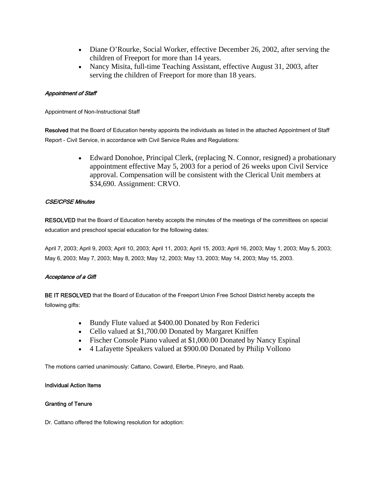- Diane O'Rourke, Social Worker, effective December 26, 2002, after serving the children of Freeport for more than 14 years.
- Nancy Misita, full-time Teaching Assistant, effective August 31, 2003, after serving the children of Freeport for more than 18 years.

### Appointment of Staff

Appointment of Non-Instructional Staff

Resolved that the Board of Education hereby appoints the individuals as listed in the attached Appointment of Staff Report - Civil Service, in accordance with Civil Service Rules and Regulations:

> • Edward Donohoe, Principal Clerk, (replacing N. Connor, resigned) a probationary appointment effective May 5, 2003 for a period of 26 weeks upon Civil Service approval. Compensation will be consistent with the Clerical Unit members at \$34,690. Assignment: CRVO.

### CSE/CPSE Minutes

RESOLVED that the Board of Education hereby accepts the minutes of the meetings of the committees on special education and preschool special education for the following dates:

April 7, 2003; April 9, 2003; April 10, 2003; April 11, 2003; April 15, 2003; April 16, 2003; May 1, 2003; May 5, 2003; May 6, 2003; May 7, 2003; May 8, 2003; May 12, 2003; May 13, 2003; May 14, 2003; May 15, 2003.

### Acceptance of a Gift

BE IT RESOLVED that the Board of Education of the Freeport Union Free School District hereby accepts the following gifts:

- Bundy Flute valued at \$400.00 Donated by Ron Federici
- Cello valued at \$1,700.00 Donated by Margaret Kniffen
- Fischer Console Piano valued at \$1,000.00 Donated by Nancy Espinal
- 4 Lafayette Speakers valued at \$900.00 Donated by Philip Vollono

The motions carried unanimously: Cattano, Coward, Ellerbe, Pineyro, and Raab.

### Individual Action Items

### Granting of Tenure

Dr. Cattano offered the following resolution for adoption: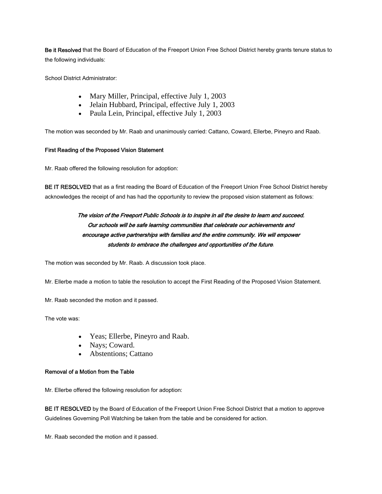Be it Resolved that the Board of Education of the Freeport Union Free School District hereby grants tenure status to the following individuals:

School District Administrator:

- Mary Miller, Principal, effective July 1, 2003
- Jelain Hubbard, Principal, effective July 1, 2003
- Paula Lein, Principal, effective July 1, 2003

The motion was seconded by Mr. Raab and unanimously carried: Cattano, Coward, Ellerbe, Pineyro and Raab.

### First Reading of the Proposed Vision Statement

Mr. Raab offered the following resolution for adoption:

BE IT RESOLVED that as a first reading the Board of Education of the Freeport Union Free School District hereby acknowledges the receipt of and has had the opportunity to review the proposed vision statement as follows:

### The vision of the Freeport Public Schools is to inspire in all the desire to learn and succeed. Our schools will be safe learning communities that celebrate our achievements and encourage active partnerships with families and the entire community. We will empower students to embrace the challenges and opportunities of the future.

The motion was seconded by Mr. Raab. A discussion took place.

Mr. Ellerbe made a motion to table the resolution to accept the First Reading of the Proposed Vision Statement.

Mr. Raab seconded the motion and it passed.

The vote was:

- Yeas; Ellerbe, Pineyro and Raab.
- Nays; Coward.
- Abstentions; Cattano

### Removal of a Motion from the Table

Mr. Ellerbe offered the following resolution for adoption:

BE IT RESOLVED by the Board of Education of the Freeport Union Free School District that a motion to approve Guidelines Governing Poll Watching be taken from the table and be considered for action.

Mr. Raab seconded the motion and it passed.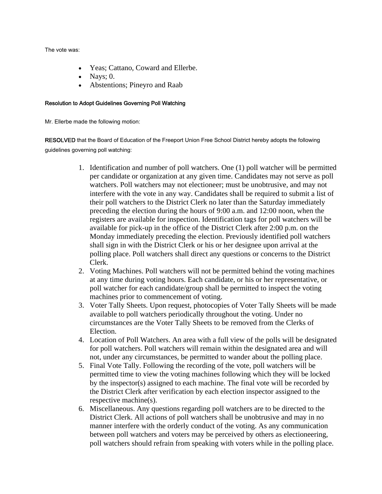The vote was:

- Yeas; Cattano, Coward and Ellerbe.
- Nays;  $0$ .
- Abstentions; Pineyro and Raab

### Resolution to Adopt Guidelines Governing Poll Watching

Mr. Ellerbe made the following motion:

RESOLVED that the Board of Education of the Freeport Union Free School District hereby adopts the following guidelines governing poll watching:

- 1. Identification and number of poll watchers. One (1) poll watcher will be permitted per candidate or organization at any given time. Candidates may not serve as poll watchers. Poll watchers may not electioneer; must be unobtrusive, and may not interfere with the vote in any way. Candidates shall be required to submit a list of their poll watchers to the District Clerk no later than the Saturday immediately preceding the election during the hours of 9:00 a.m. and 12:00 noon, when the registers are available for inspection. Identification tags for poll watchers will be available for pick-up in the office of the District Clerk after 2:00 p.m. on the Monday immediately preceding the election. Previously identified poll watchers shall sign in with the District Clerk or his or her designee upon arrival at the polling place. Poll watchers shall direct any questions or concerns to the District Clerk.
- 2. Voting Machines. Poll watchers will not be permitted behind the voting machines at any time during voting hours. Each candidate, or his or her representative, or poll watcher for each candidate/group shall be permitted to inspect the voting machines prior to commencement of voting.
- 3. Voter Tally Sheets. Upon request, photocopies of Voter Tally Sheets will be made available to poll watchers periodically throughout the voting. Under no circumstances are the Voter Tally Sheets to be removed from the Clerks of Election.
- 4. Location of Poll Watchers. An area with a full view of the polls will be designated for poll watchers. Poll watchers will remain within the designated area and will not, under any circumstances, be permitted to wander about the polling place.
- 5. Final Vote Tally. Following the recording of the vote, poll watchers will be permitted time to view the voting machines following which they will be locked by the inspector(s) assigned to each machine. The final vote will be recorded by the District Clerk after verification by each election inspector assigned to the respective machine(s).
- 6. Miscellaneous. Any questions regarding poll watchers are to be directed to the District Clerk. All actions of poll watchers shall be unobtrusive and may in no manner interfere with the orderly conduct of the voting. As any communication between poll watchers and voters may be perceived by others as electioneering, poll watchers should refrain from speaking with voters while in the polling place.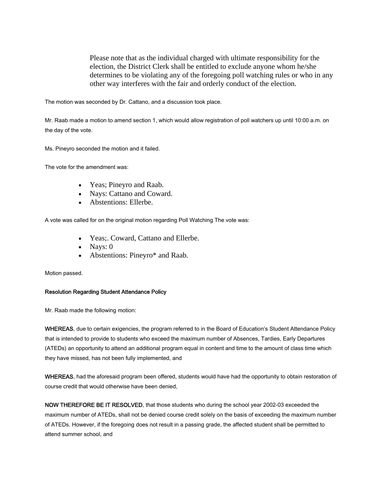Please note that as the individual charged with ultimate responsibility for the election, the District Clerk shall be entitled to exclude anyone whom he/she determines to be violating any of the foregoing poll watching rules or who in any other way interferes with the fair and orderly conduct of the election.

The motion was seconded by Dr. Cattano, and a discussion took place.

Mr. Raab made a motion to amend section 1, which would allow registration of poll watchers up until 10:00 a.m. on the day of the vote.

Ms. Pineyro seconded the motion and it failed.

The vote for the amendment was:

- Yeas; Pineyro and Raab.
- Nays: Cattano and Coward.
- Abstentions: Ellerbe.

A vote was called for on the original motion regarding Poll Watching The vote was:

- Yeas; Coward, Cattano and Ellerbe.
- Nays: 0
- Abstentions: Pineyro\* and Raab.

Motion passed.

### Resolution Regarding Student Attendance Policy

Mr. Raab made the following motion:

WHEREAS, due to certain exigencies, the program referred to in the Board of Education's Student Attendance Policy that is intended to provide to students who exceed the maximum number of Absences, Tardies, Early Departures (ATEDs) an opportunity to attend an additional program equal in content and time to the amount of class time which they have missed, has not been fully implemented, and

WHEREAS, had the aforesaid program been offered, students would have had the opportunity to obtain restoration of course credit that would otherwise have been denied,

NOW THEREFORE BE IT RESOLVED, that those students who during the school year 2002-03 exceeded the maximum number of ATEDs, shall not be denied course credit solely on the basis of exceeding the maximum number of ATEDs. However, if the foregoing does not result in a passing grade, the affected student shall be permitted to attend summer school, and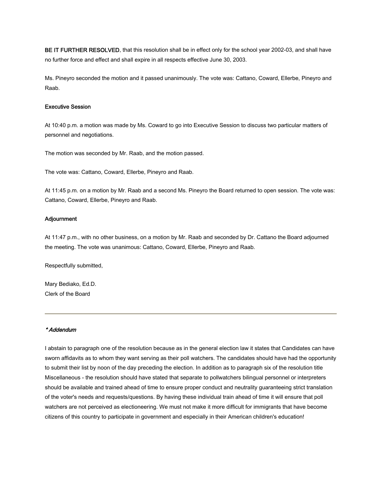BE IT FURTHER RESOLVED, that this resolution shall be in effect only for the school year 2002-03, and shall have no further force and effect and shall expire in all respects effective June 30, 2003.

Ms. Pineyro seconded the motion and it passed unanimously. The vote was: Cattano, Coward, Ellerbe, Pineyro and Raab.

#### Executive Session

At 10:40 p.m. a motion was made by Ms. Coward to go into Executive Session to discuss two particular matters of personnel and negotiations.

The motion was seconded by Mr. Raab, and the motion passed.

The vote was: Cattano, Coward, Ellerbe, Pineyro and Raab.

At 11:45 p.m. on a motion by Mr. Raab and a second Ms. Pineyro the Board returned to open session. The vote was: Cattano, Coward, Ellerbe, Pineyro and Raab.

#### Adjournment

At 11:47 p.m., with no other business, on a motion by Mr. Raab and seconded by Dr. Cattano the Board adjourned the meeting. The vote was unanimous: Cattano, Coward, Ellerbe, Pineyro and Raab.

Respectfully submitted,

Mary Bediako, Ed.D. Clerk of the Board

### \* Addendum

I abstain to paragraph one of the resolution because as in the general election law it states that Candidates can have sworn affidavits as to whom they want serving as their poll watchers. The candidates should have had the opportunity to submit their list by noon of the day preceding the election. In addition as to paragraph six of the resolution title Miscellaneous - the resolution should have stated that separate to pollwatchers bilingual personnel or interpreters should be available and trained ahead of time to ensure proper conduct and neutrality guaranteeing strict translation of the voter's needs and requests/questions. By having these individual train ahead of time it will ensure that poll watchers are not perceived as electioneering. We must not make it more difficult for immigrants that have become citizens of this country to participate in government and especially in their American children's education!